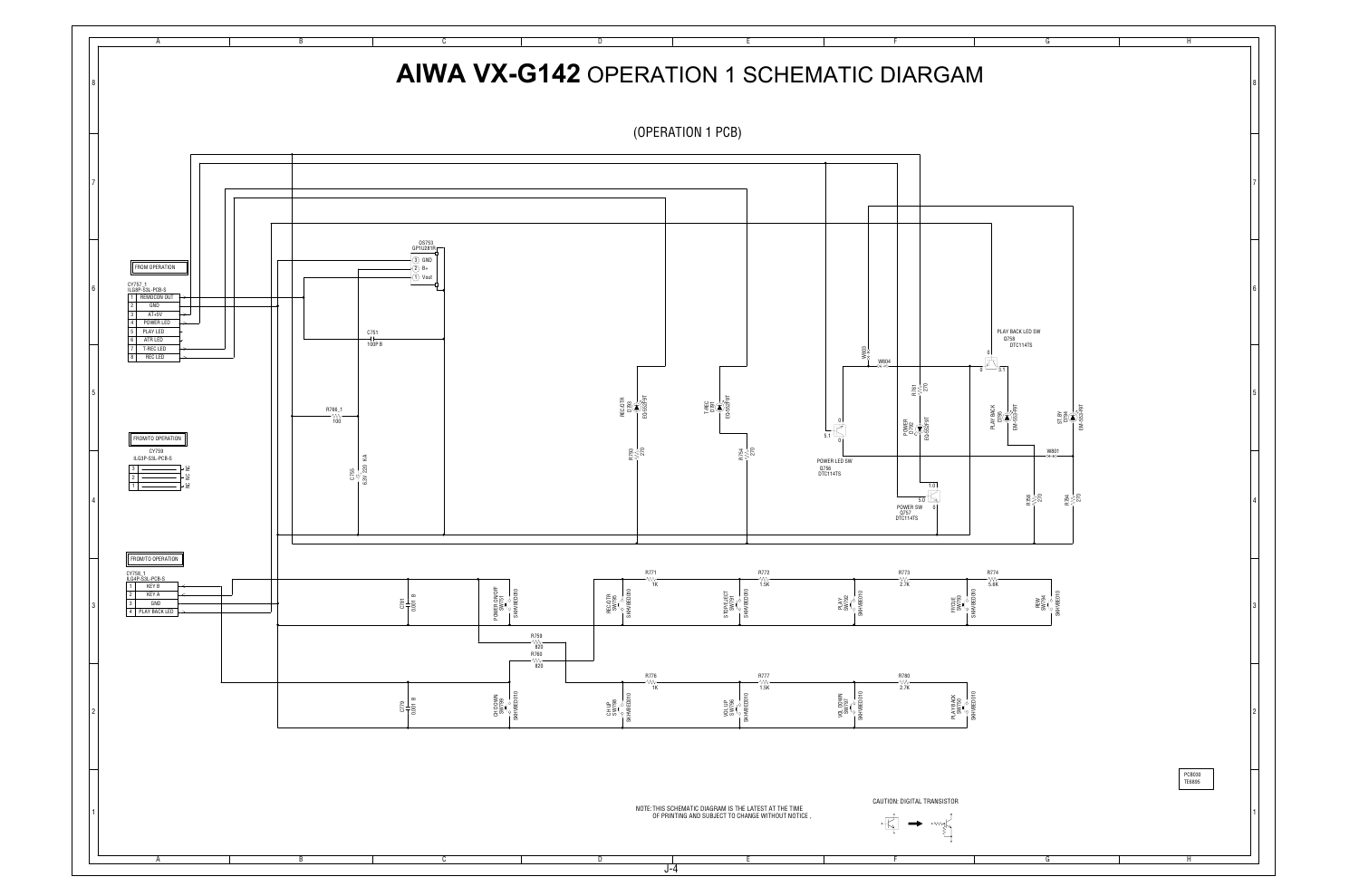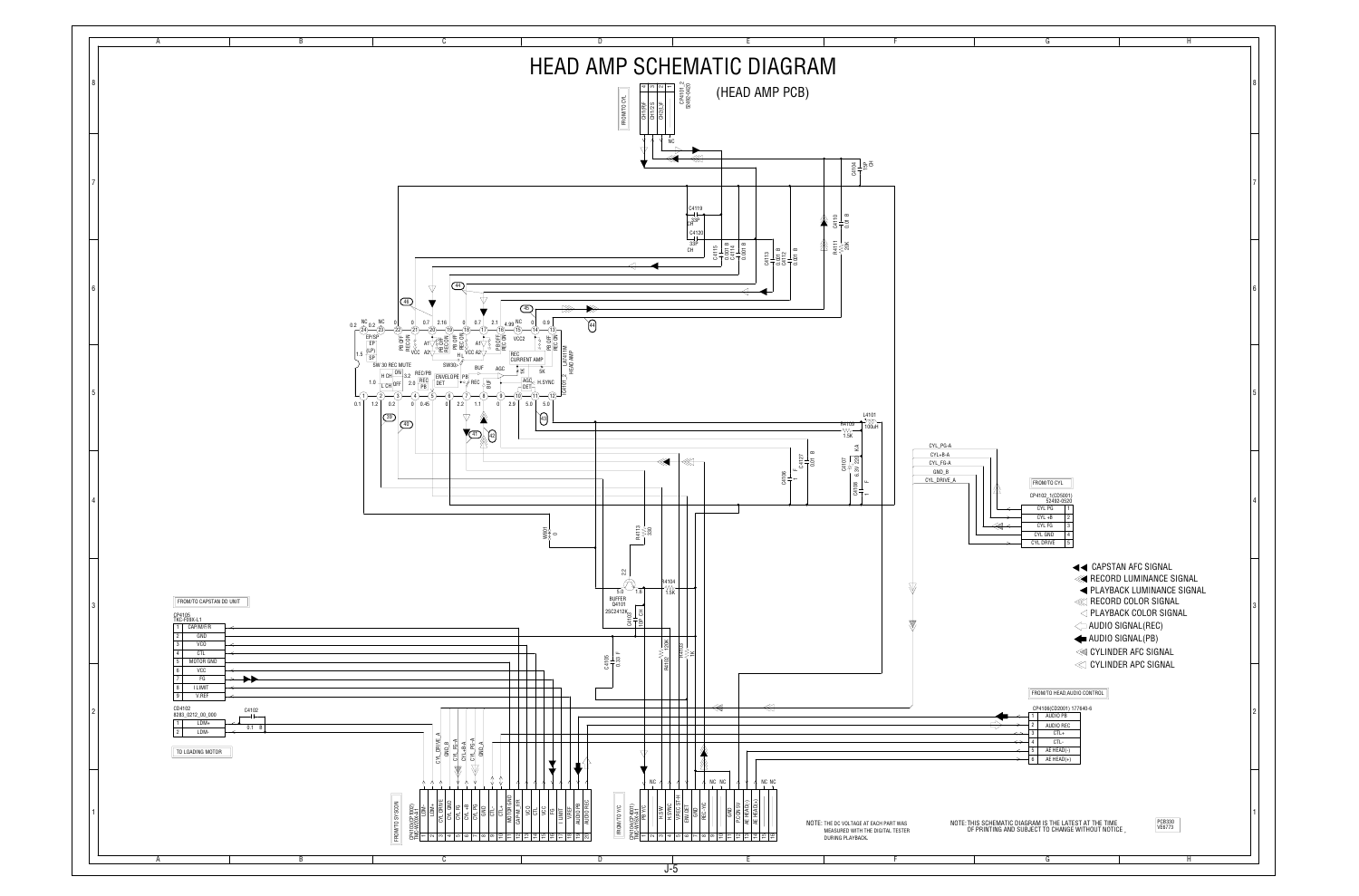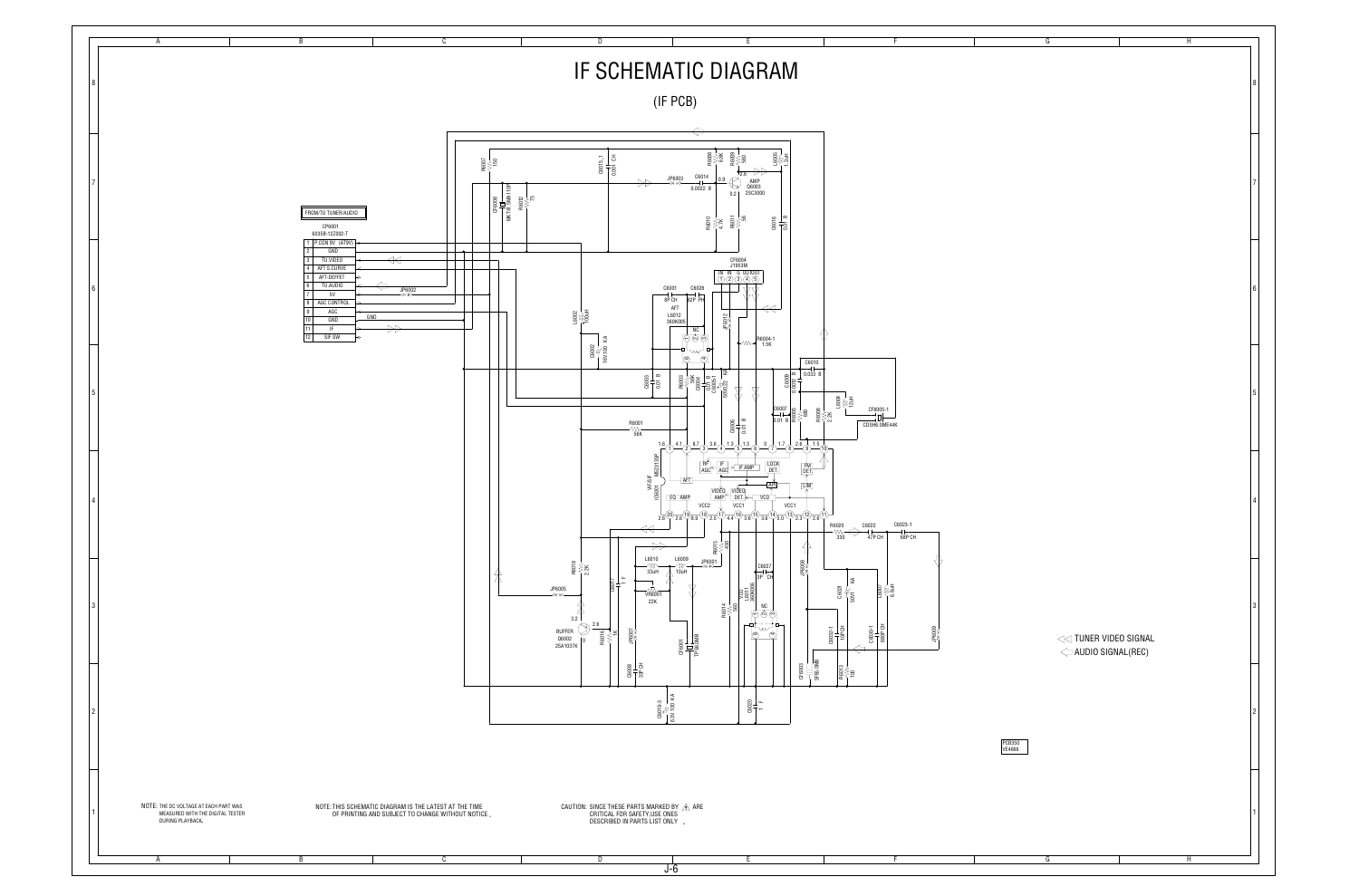

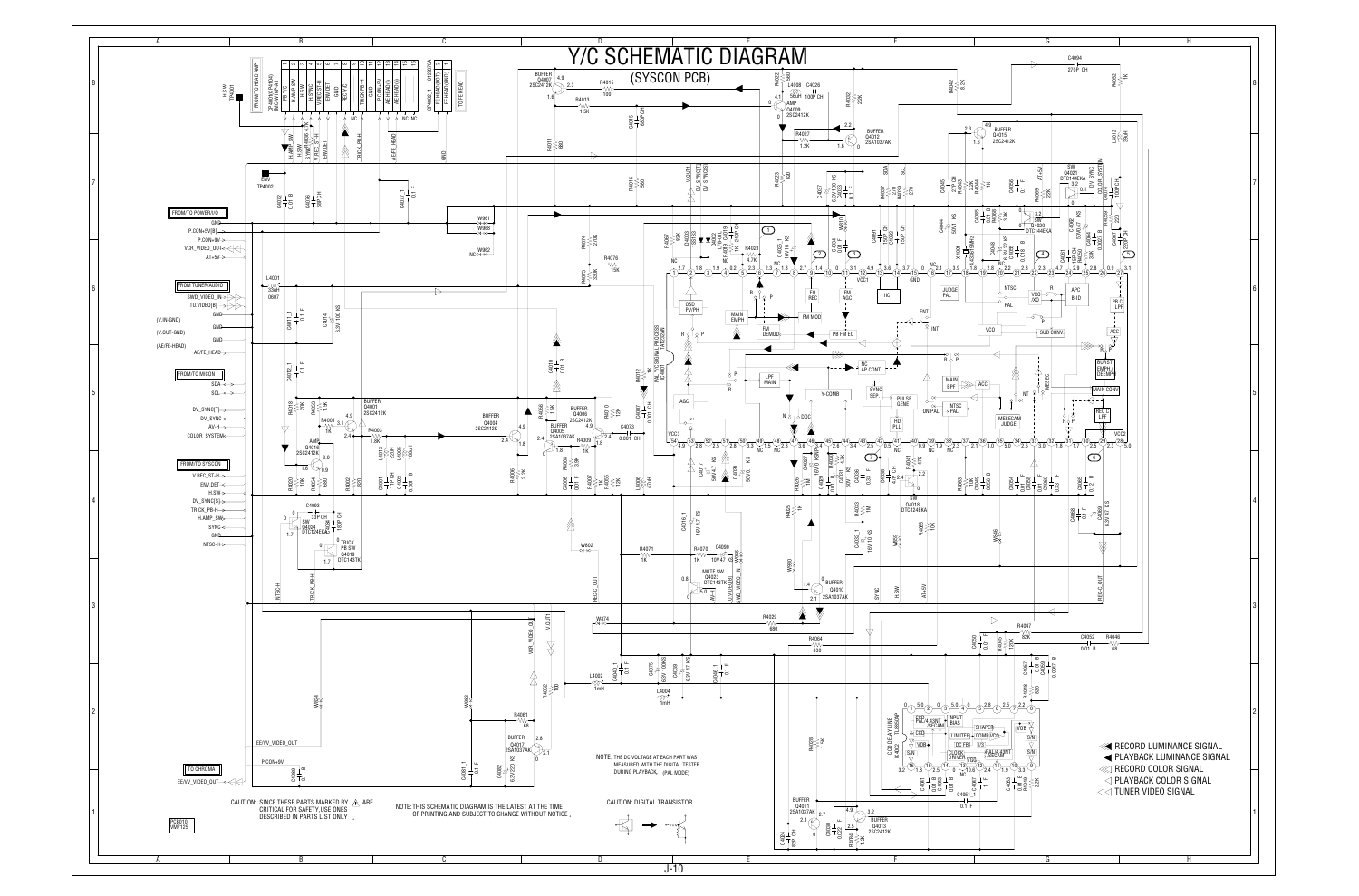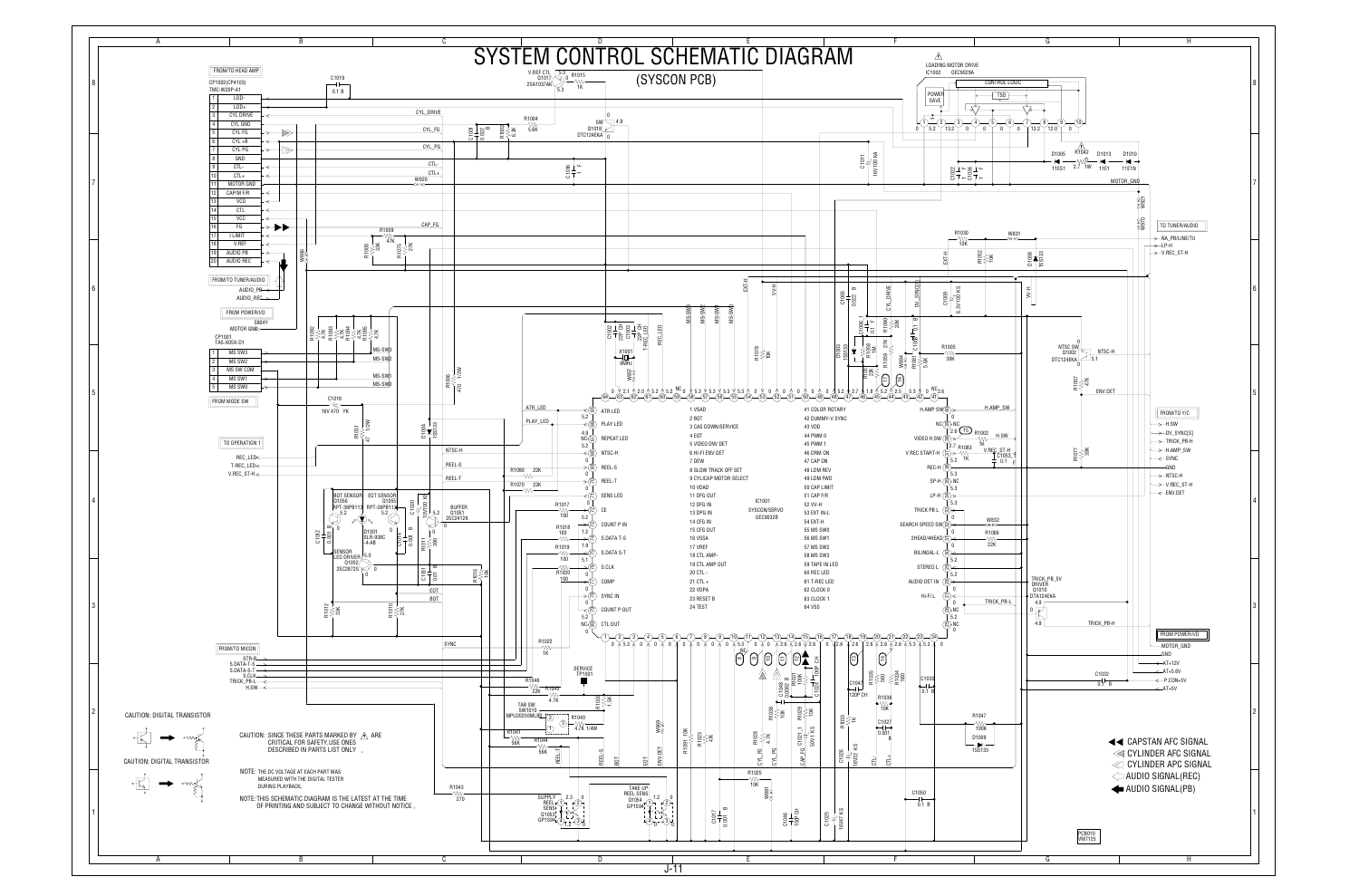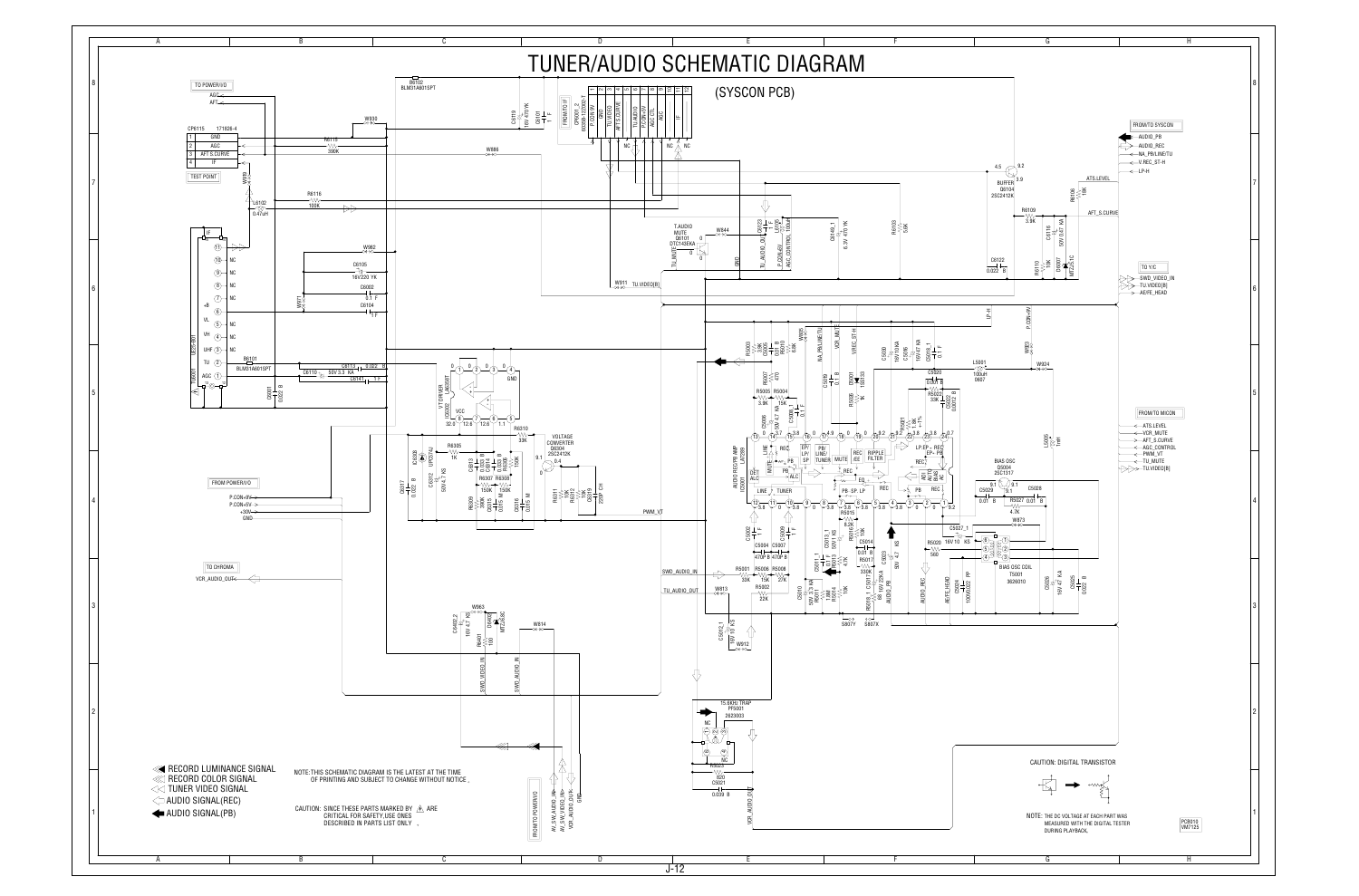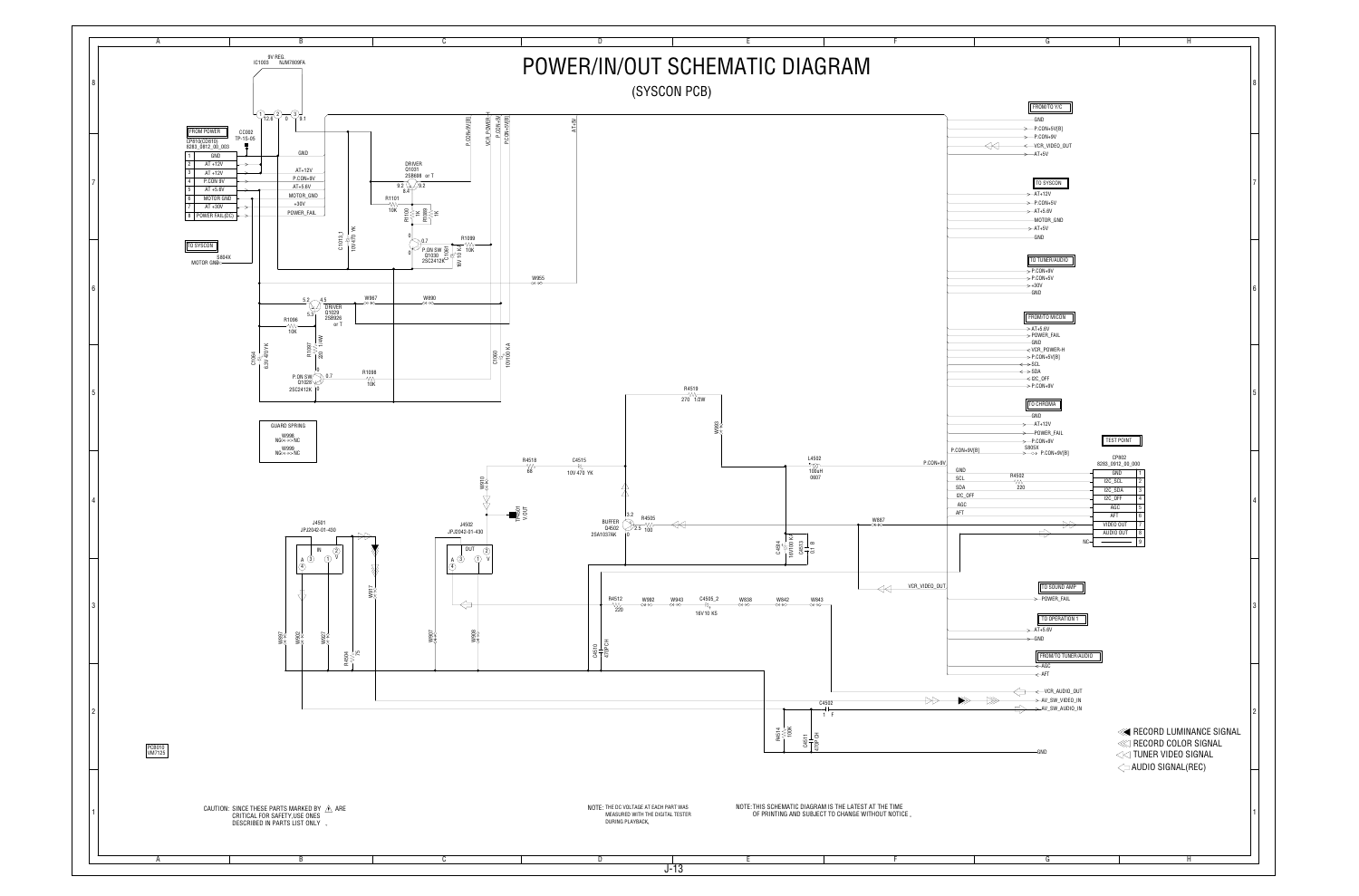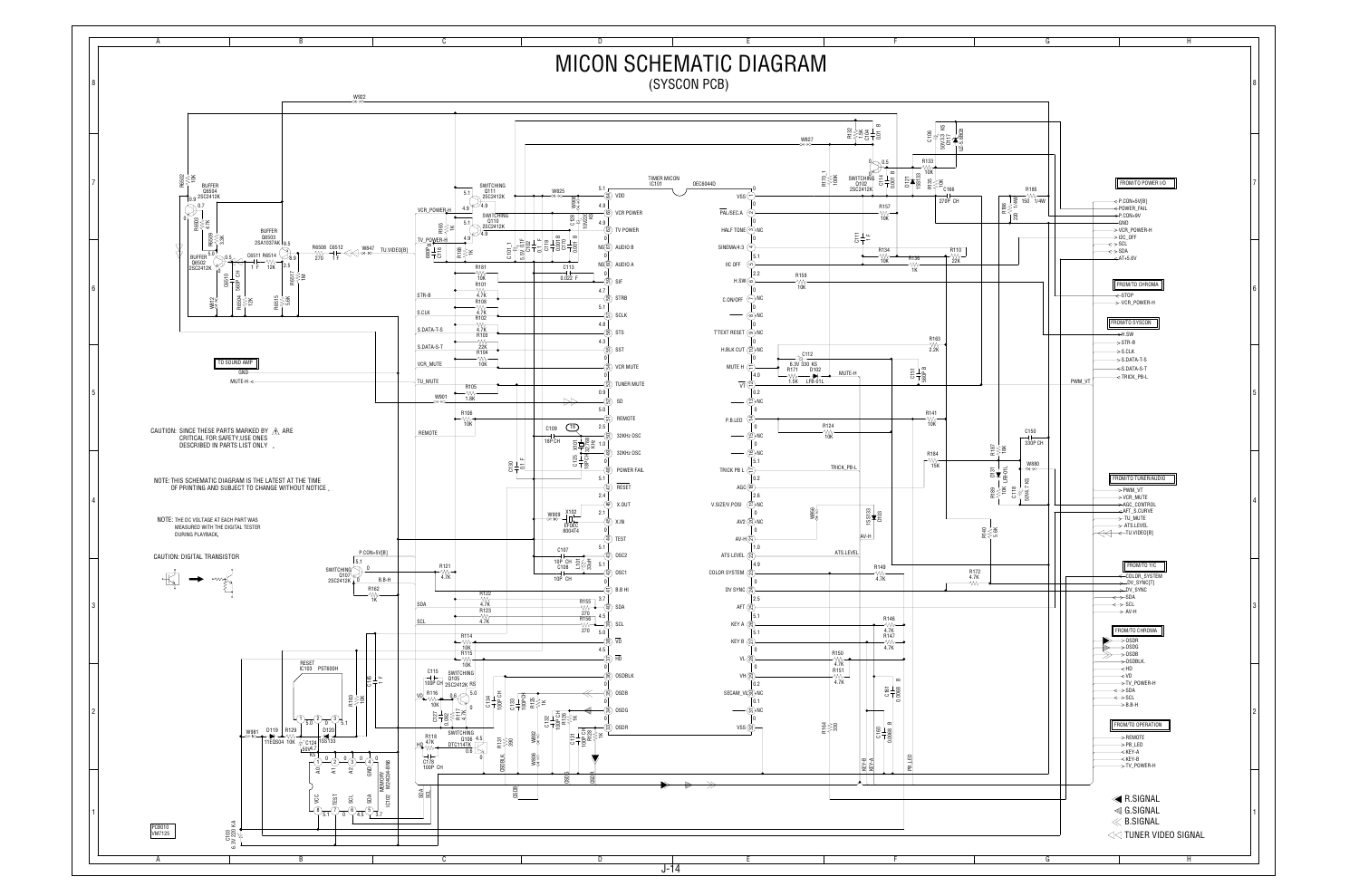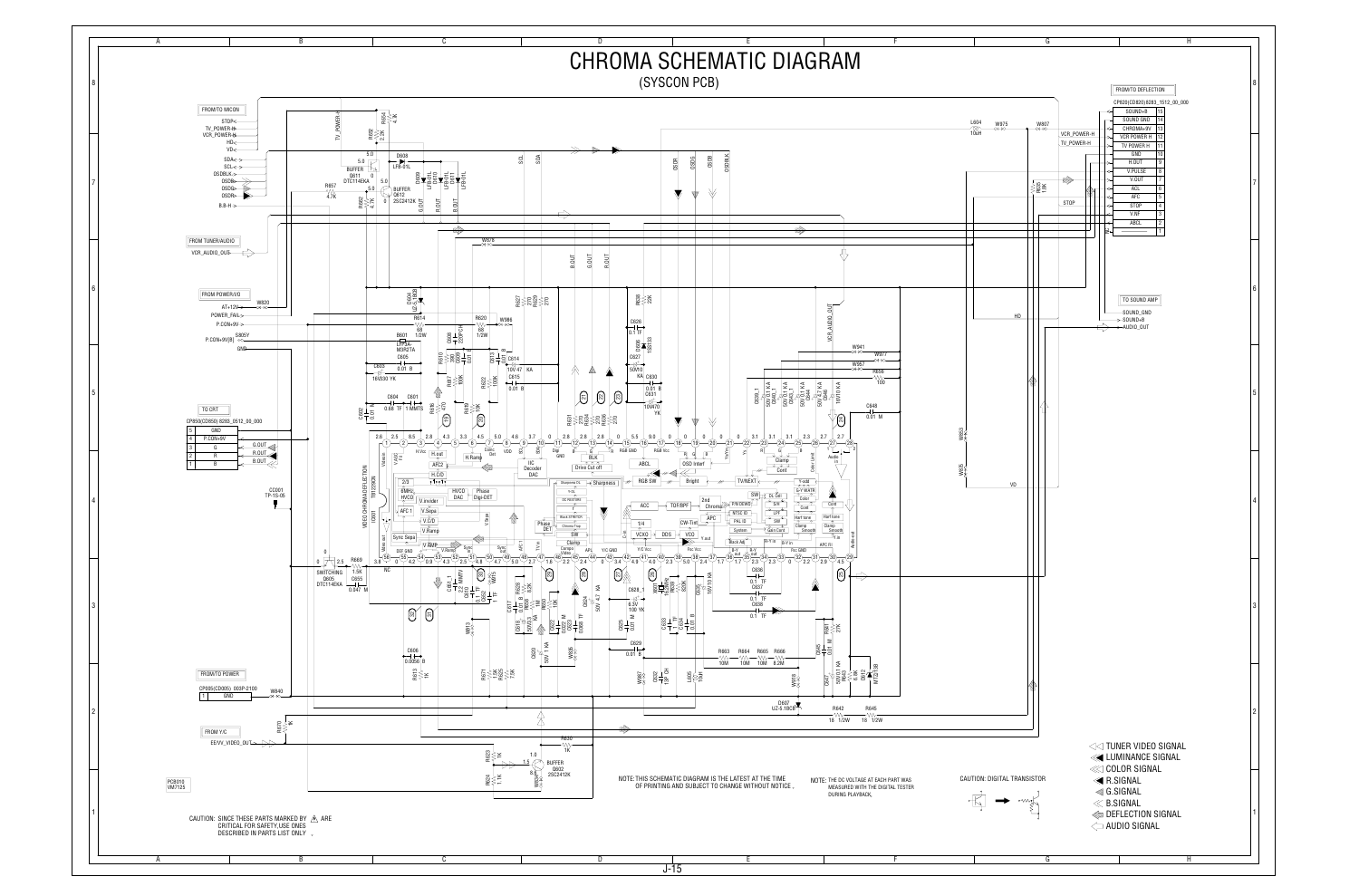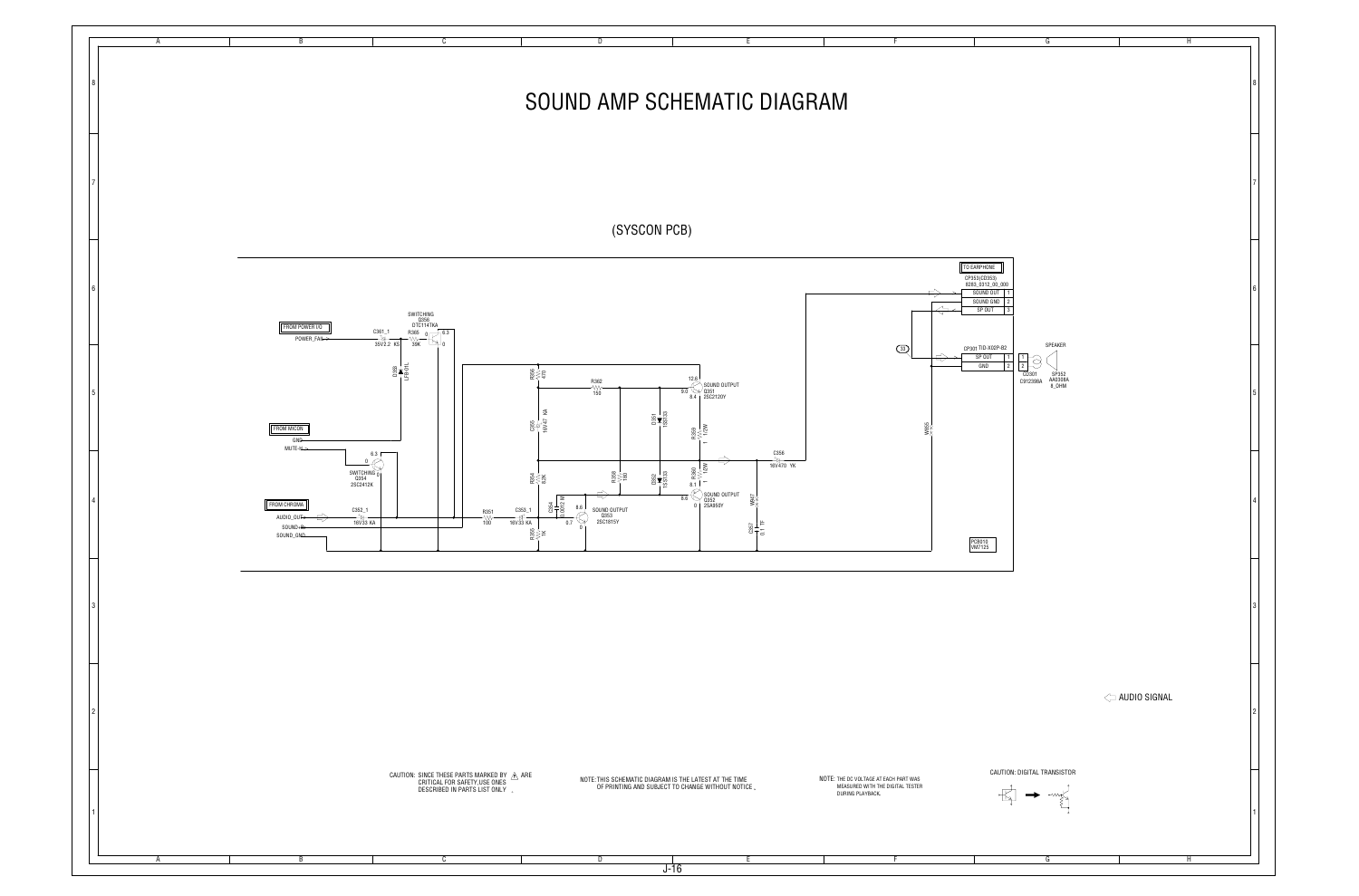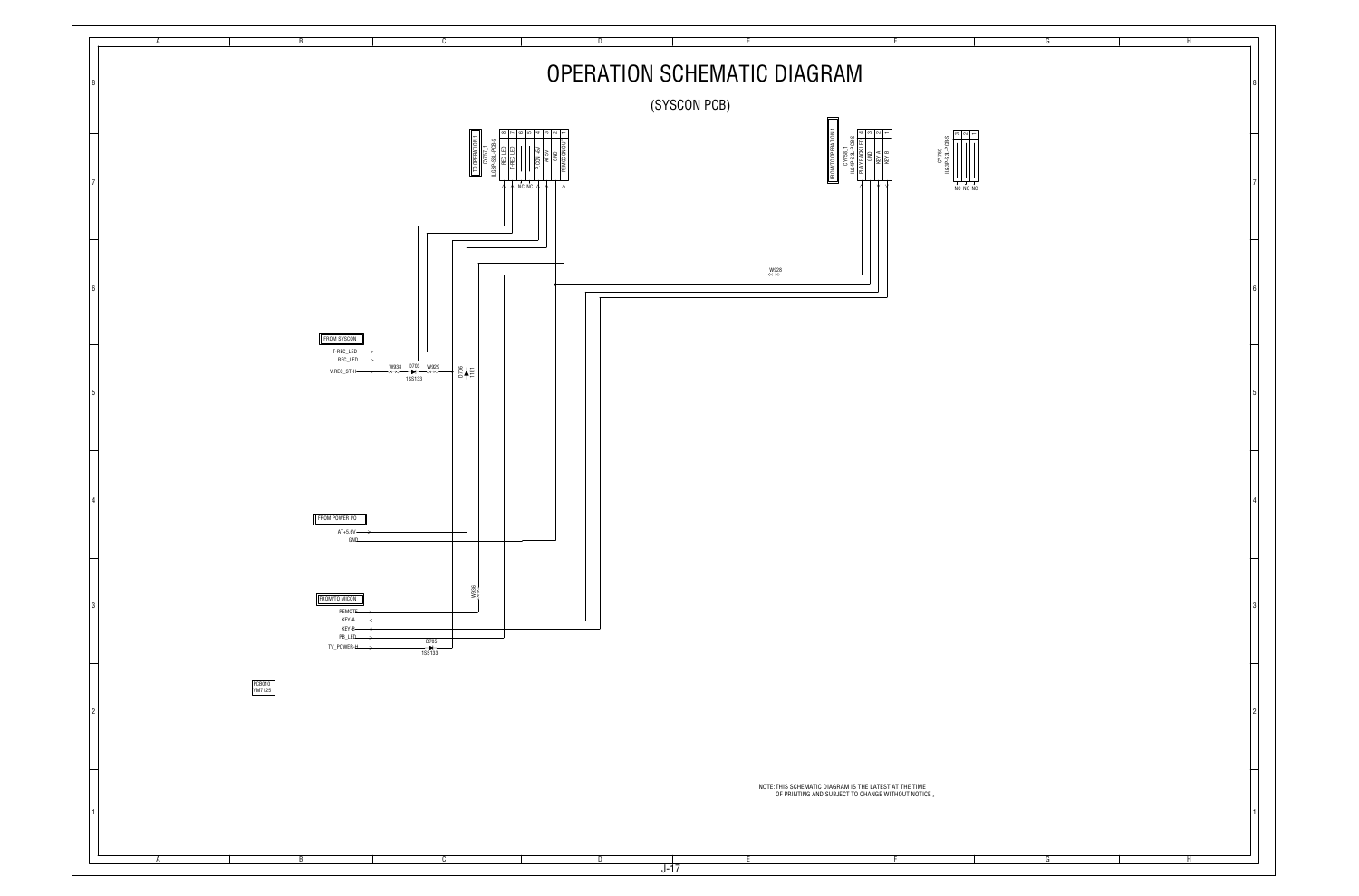| $\overline{G}$ | $\overline{H}$ |                         |
|----------------|----------------|-------------------------|
|                |                | 8                       |
|                |                | $\overline{7}$          |
|                |                | 6                       |
|                |                | 5                       |
|                |                | 4                       |
|                |                | $\mathbf 3$             |
|                |                | $\overline{\mathbf{c}}$ |
|                |                | $\mathbf{1}$            |
| G              | $\overline{H}$ |                         |

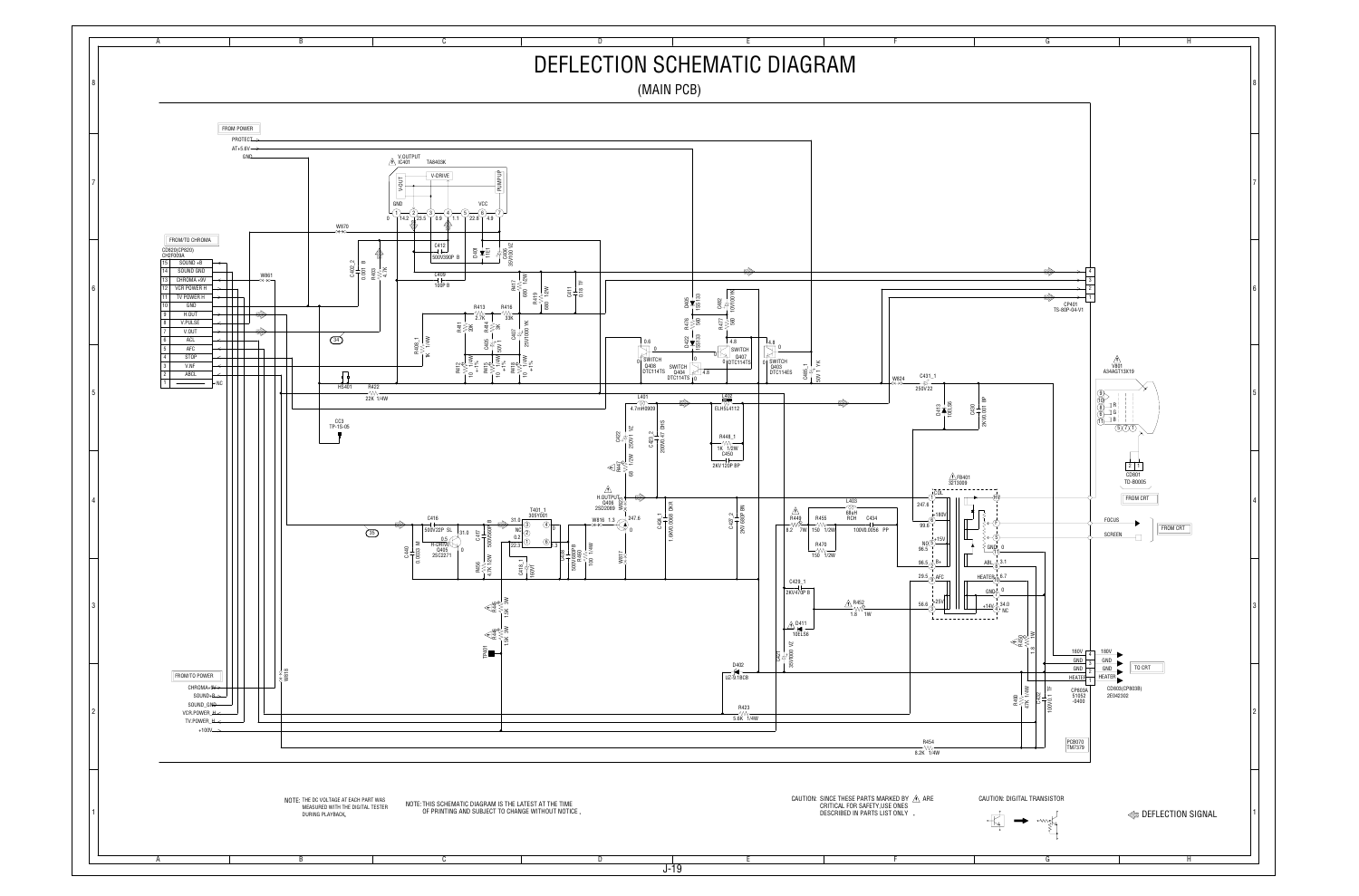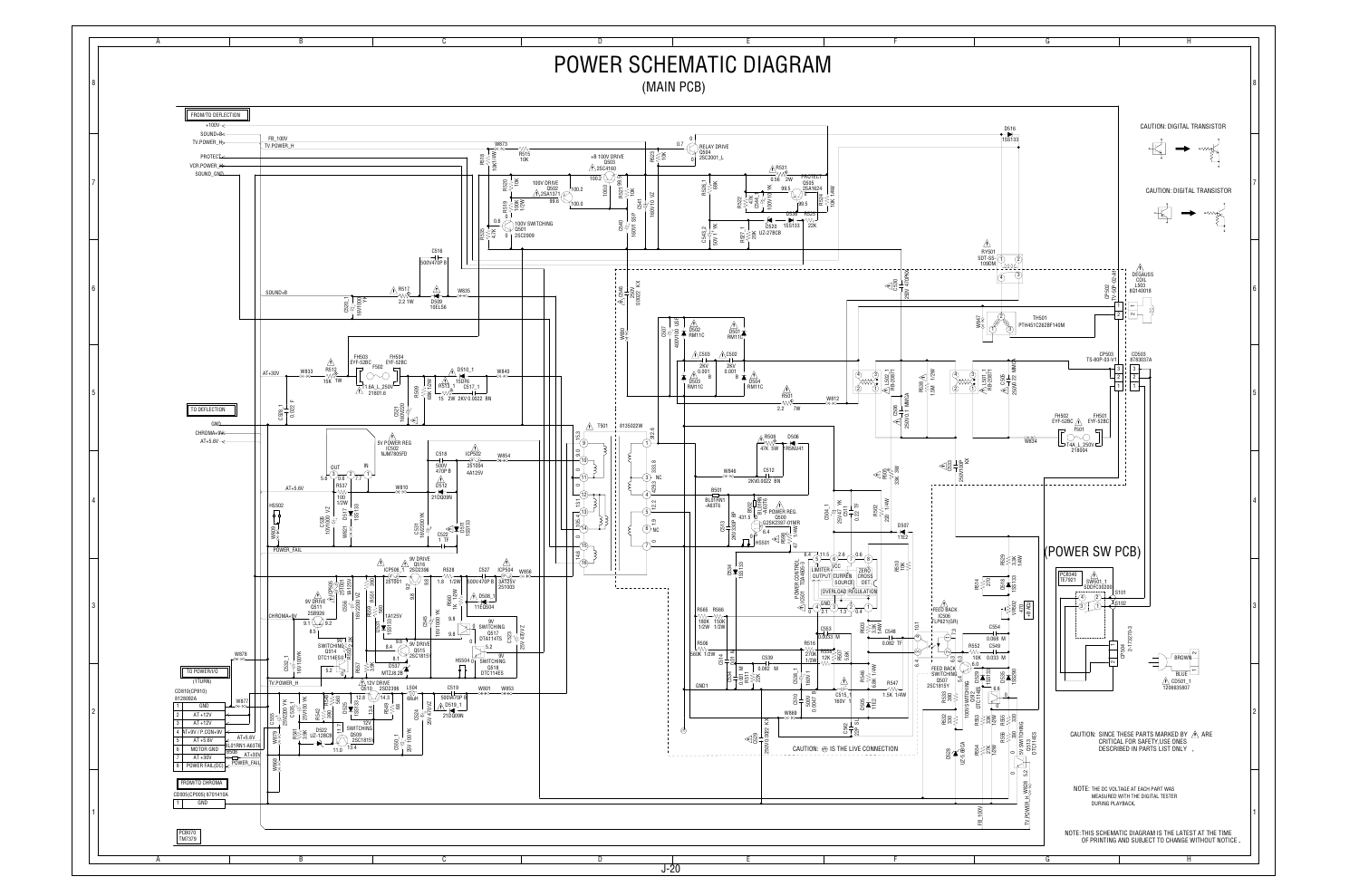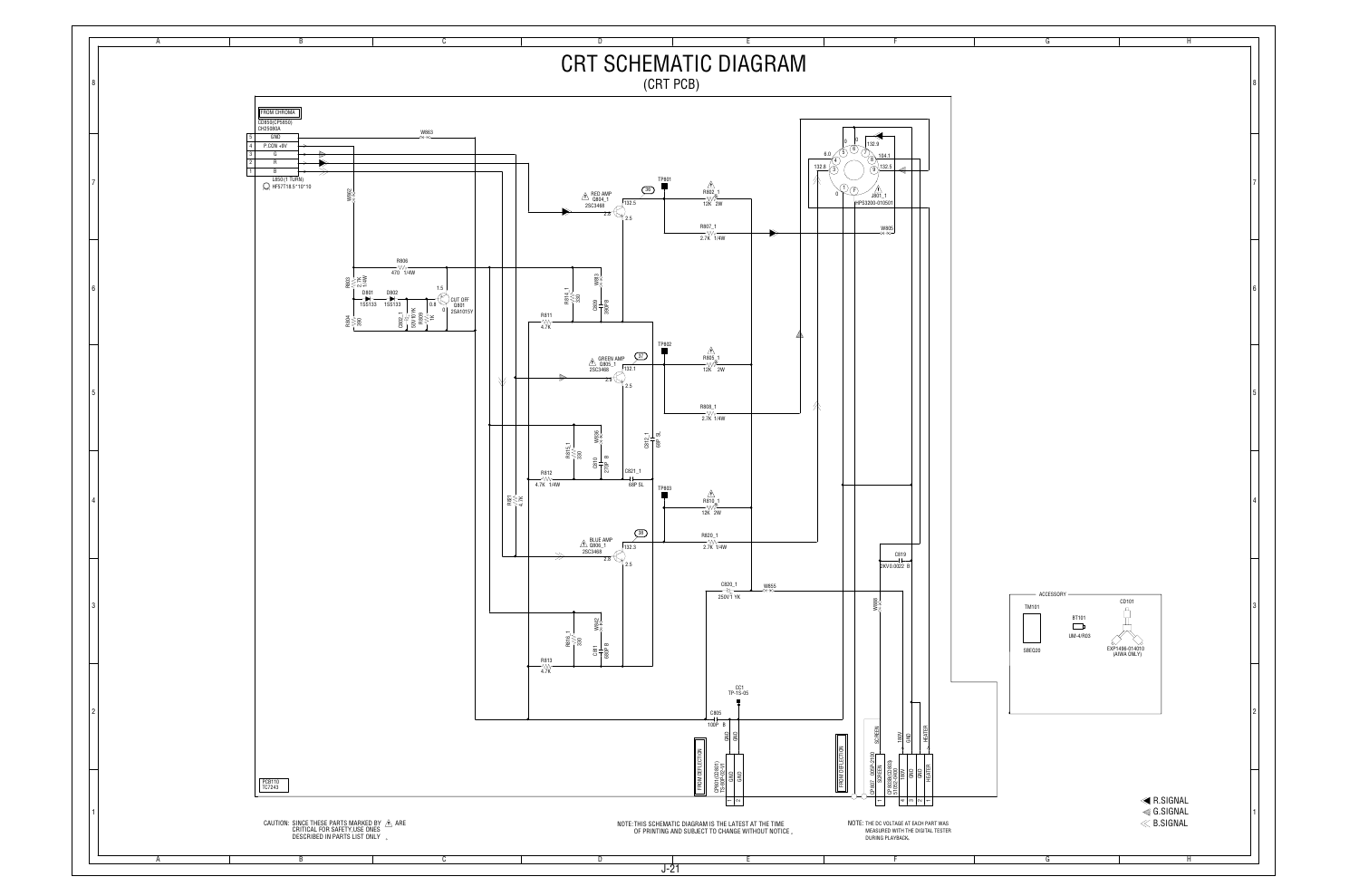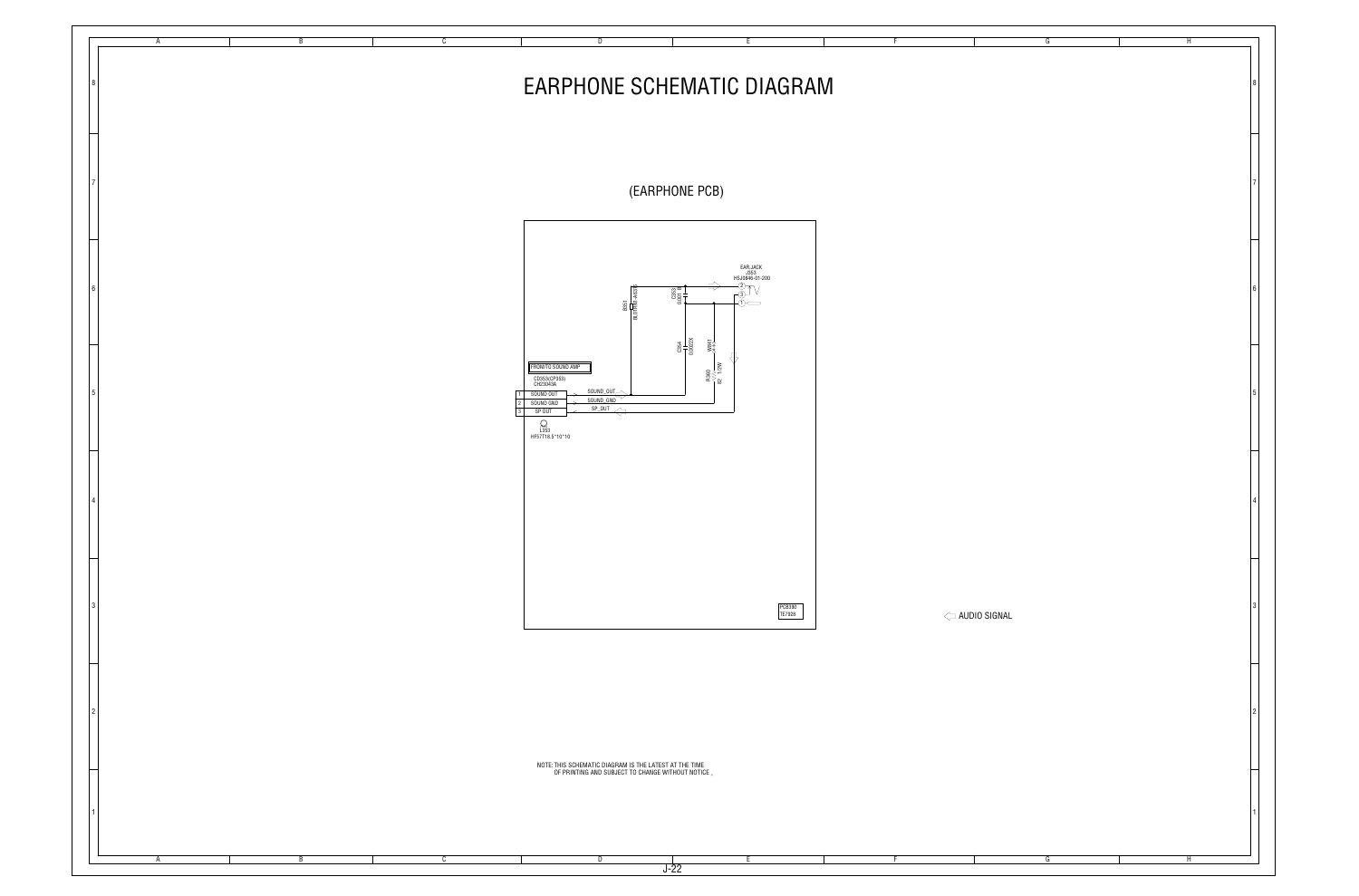| $\overline{G}$ | $\overline{H}$ |                         |
|----------------|----------------|-------------------------|
|                |                |                         |
|                |                | 8                       |
|                |                |                         |
|                |                |                         |
|                |                |                         |
|                |                |                         |
|                |                |                         |
|                |                | $\overline{7}$          |
|                |                |                         |
|                |                |                         |
|                |                |                         |
|                |                |                         |
|                |                |                         |
|                |                |                         |
|                |                | $\boldsymbol{6}$        |
|                |                |                         |
|                |                |                         |
|                |                |                         |
|                |                |                         |
|                |                |                         |
|                |                | $\overline{5}$          |
|                |                |                         |
|                |                |                         |
|                |                |                         |
|                |                |                         |
|                |                |                         |
|                |                |                         |
|                |                | $\overline{\mathbf{4}}$ |
|                |                |                         |
|                |                |                         |
|                |                |                         |
|                |                |                         |
|                |                |                         |
|                |                | $\mathsf 3$             |
|                |                |                         |
|                |                |                         |
|                |                |                         |
|                |                |                         |
|                |                |                         |
|                |                | $\overline{\mathbf{c}}$ |
|                |                |                         |
|                |                |                         |
|                |                |                         |
|                |                |                         |
|                |                |                         |
|                |                |                         |
|                |                | $\mathbf{1}$            |
|                |                |                         |
|                |                |                         |
| G              | $\overline{H}$ |                         |

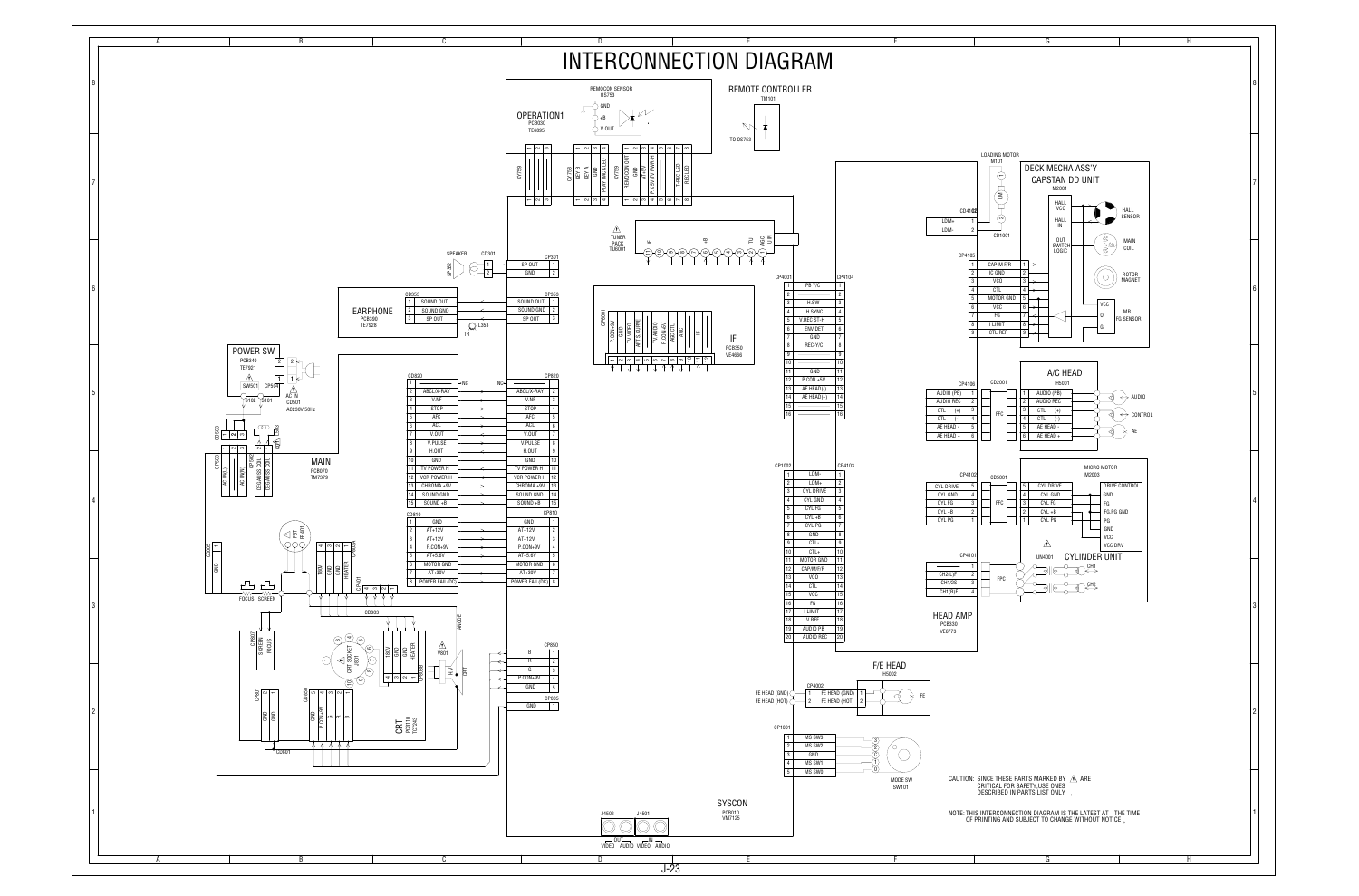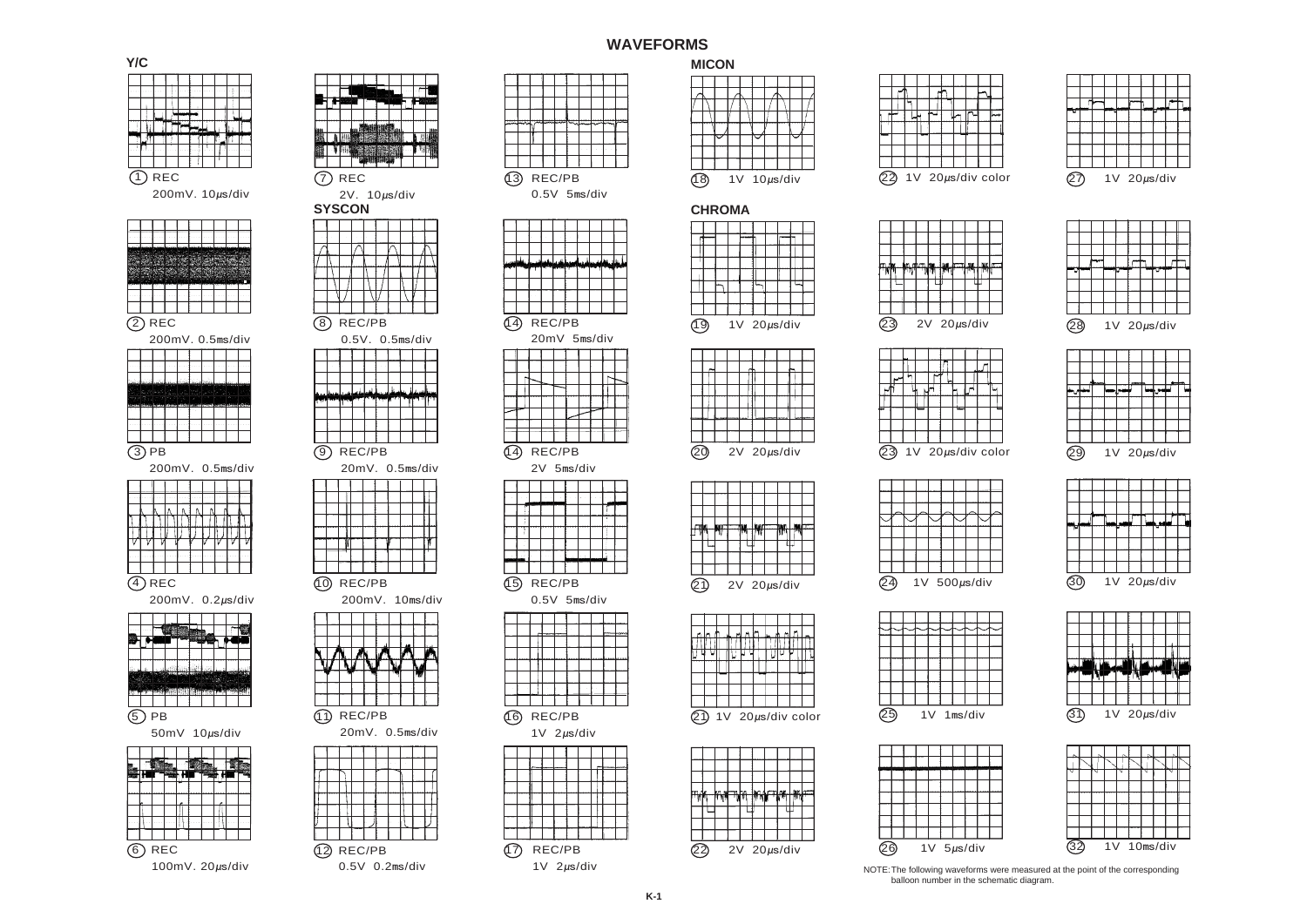









balloon number in the schematic diagram.

15) REC/PB  $0.5V$  5r



16) REC/PB



## **WAVEFORMS**



| 2V 5ms/div |                |  |  |  |  |  |  |  |  |  |  |  |  |
|------------|----------------|--|--|--|--|--|--|--|--|--|--|--|--|
|            |                |  |  |  |  |  |  |  |  |  |  |  |  |
|            |                |  |  |  |  |  |  |  |  |  |  |  |  |
|            |                |  |  |  |  |  |  |  |  |  |  |  |  |
|            |                |  |  |  |  |  |  |  |  |  |  |  |  |
|            |                |  |  |  |  |  |  |  |  |  |  |  |  |
|            |                |  |  |  |  |  |  |  |  |  |  |  |  |
|            |                |  |  |  |  |  |  |  |  |  |  |  |  |
|            |                |  |  |  |  |  |  |  |  |  |  |  |  |
| REC/PB     |                |  |  |  |  |  |  |  |  |  |  |  |  |
|            | $0.5V$ 5ms/div |  |  |  |  |  |  |  |  |  |  |  |  |

|  |  |  | $2V$ 20 $\mu$ s |
|--|--|--|-----------------|
|  |  |  |                 |

|  |  | 1V 20µs/div cold |  |  |
|--|--|------------------|--|--|



























|  |  |  |  |  | 2V 20µs/div |  |  |
|--|--|--|--|--|-------------|--|--|







|  | 1 \ / |  |  | $20$ us/div |  |
|--|-------|--|--|-------------|--|





ML Ҹ ӊ┙┋